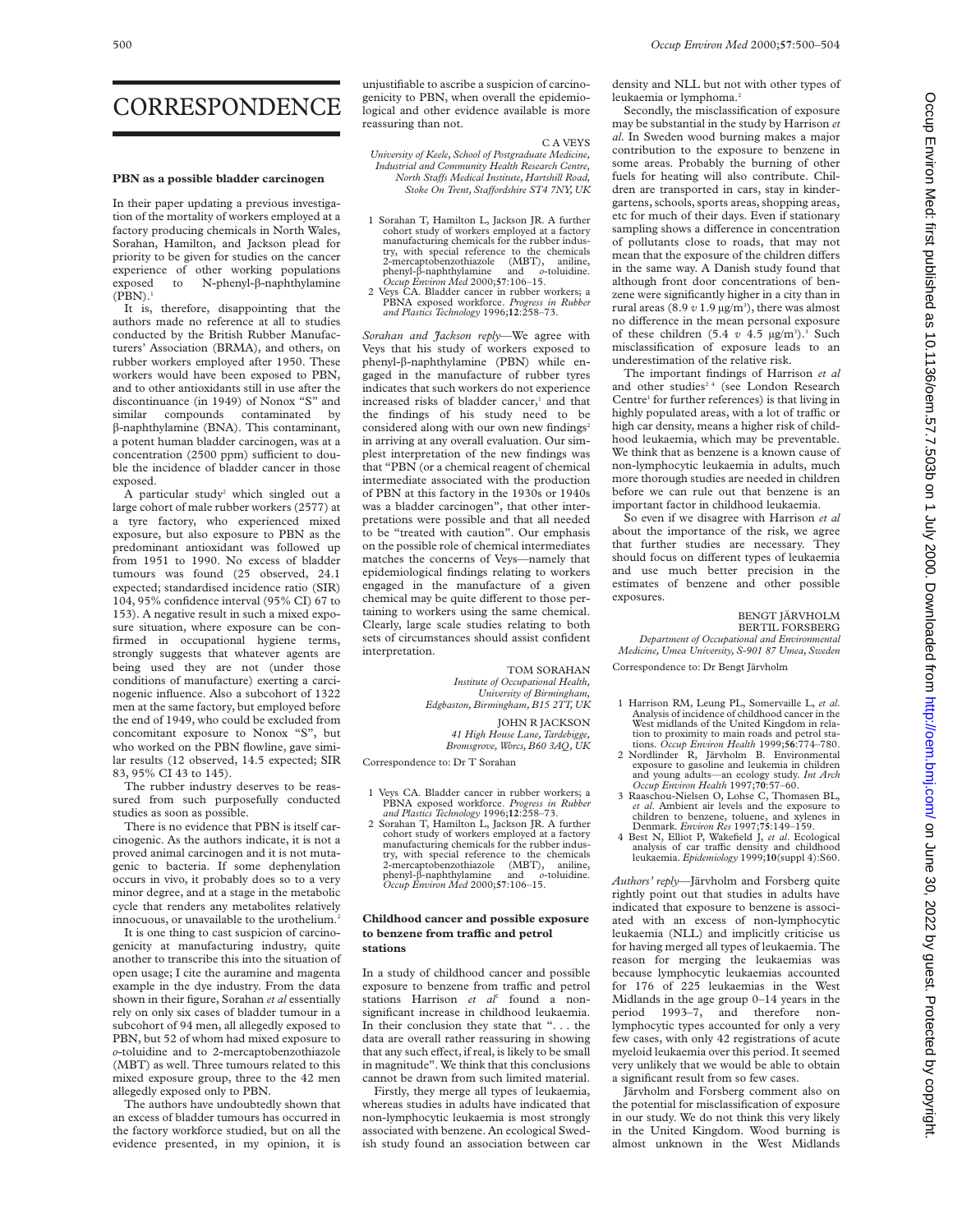## CORRESPONDENCE

### **PBN as a possible bladder carcinogen**

In their paper updating a previous investigation of the mortality of workers employed at a factory producing chemicals in North Wales, Sorahan, Hamilton, and Jackson plead for priority to be given for studies on the cancer experience of other working populations exposed to N-phenyl- $\beta$ -naphthylamine  $(PBN).<sup>1</sup>$ 

It is, therefore, disappointing that the authors made no reference at all to studies conducted by the British Rubber Manufacturers' Association (BRMA), and others, on rubber workers employed after 1950. These workers would have been exposed to PBN, and to other antioxidants still in use after the discontinuance (in 1949) of Nonox "S" and similar compounds contaminated by â-naphthylamine (BNA). This contaminant, a potent human bladder carcinogen, was at a concentration (2500 ppm) sufficient to double the incidence of bladder cancer in those exposed.

A particular study<sup>2</sup> which singled out a large cohort of male rubber workers (2577) at a tyre factory, who experienced mixed exposure, but also exposure to PBN as the predominant antioxidant was followed up from 1951 to 1990. No excess of bladder tumours was found (25 observed, 24.1 expected; standardised incidence ratio (SIR) 104, 95% confidence interval (95% CI) 67 to 153). A negative result in such a mixed exposure situation, where exposure can be confirmed in occupational hygiene terms, strongly suggests that whatever agents are being used they are not (under those conditions of manufacture) exerting a carcinogenic influence. Also a subcohort of 1322 men at the same factory, but employed before the end of 1949, who could be excluded from concomitant exposure to Nonox "S", but who worked on the PBN flowline, gave similar results (12 observed, 14.5 expected; SIR 83, 95% CI 43 to 145).

The rubber industry deserves to be reassured from such purposefully conducted studies as soon as possible.

There is no evidence that PBN is itself carcinogenic. As the authors indicate, it is not a proved animal carcinogen and it is not mutagenic to bacteria. If some dephenylation occurs in vivo, it probably does so to a very minor degree, and at a stage in the metabolic cycle that renders any metabolites relatively innocuous, or unavailable to the urothelium.<sup>2</sup>

It is one thing to cast suspicion of carcinogenicity at manufacturing industry, quite another to transcribe this into the situation of open usage; I cite the auramine and magenta example in the dye industry. From the data shown in their figure, Sorahan *et al* essentially rely on only six cases of bladder tumour in a subcohort of 94 men, all allegedly exposed to PBN, but 52 of whom had mixed exposure to *o*-toluidine and to 2-mercaptobenzothiazole (MBT) as well. Three tumours related to this mixed exposure group, three to the 42 men allegedly exposed only to PBN.

The authors have undoubtedly shown that an excess of bladder tumours has occurred in the factory workforce studied, but on all the evidence presented, in my opinion, it is unjustifiable to ascribe a suspicion of carcinogenicity to PBN, when overall the epidemiological and other evidence available is more reassuring than not.

C A VEYS

*University of Keele, School of Postgraduate Medicine, Industrial and Community Health Research Centre, North StaVs Medical Institute, Hartshill Road, Stoke On Trent, StaVordshire ST4 7NY, UK*

- 1 Sorahan T, Hamilton L, Jackson JR. A further cohort study of workers employed at a factory manufacturing chemicals for the rubber industry, with special reference to the chemicals 2-mercaptobenzothiazole (MBT), aniline, phenyl-â-naphthylamine and *o*-toluidine. *Occup Environ Med* 2000;**57**:106–15. 2 Veys CA. Bladder cancer in rubber workers; a
- PBNA exposed workforce. *Progress in Rubber and Plastics Technology* 1996;**12**:258–73.

*Sorahan and Jackson reply*—We agree with Veys that his study of workers exposed to phenyl-â-naphthylamine (PBN) while engaged in the manufacture of rubber tyres indicates that such workers do not experience increased risks of bladder cancer,<sup>1</sup> and that the findings of his study need to be considered along with our own new findings<sup>2</sup> in arriving at any overall evaluation. Our simplest interpretation of the new findings was that "PBN (or a chemical reagent of chemical intermediate associated with the production of PBN at this factory in the 1930s or 1940s was a bladder carcinogen", that other interpretations were possible and that all needed to be "treated with caution". Our emphasis on the possible role of chemical intermediates matches the concerns of Veys—namely that epidemiological findings relating to workers engaged in the manufacture of a given chemical may be quite different to those pertaining to workers using the same chemical. Clearly, large scale studies relating to both sets of circumstances should assist confident interpretation.

> TOM SORAHAN *Institute of Occupational Health, University of Birmingham, Edgbaston, Birmingham, B15 2TT, UK*

> > JOHN R JACKSON *41 High House Lane, Tardebigge, Bromsgrove, Worcs, B60 3AQ, UK*

Correspondence to: Dr T Sorahan

- 1 Veys CA. Bladder cancer in rubber workers; a PBNA exposed workforce. *Progress in Rubber and Plastics Technology* 1996;**12**:258–73.
- 2 Sorahan T, Hamilton L, Jackson JR. A further cohort study of workers employed at a factory manufacturing chemicals for the rubber indus-try, with special reference to the chemicals 2-mercaptobenzothiazole (MBT), aniline, phenyl-â-naphthylamine and *o*-toluidine. *Occup Environ Med* 2000;**57**:106–15.

### **Childhood cancer and possible exposure to benzene from traYc and petrol stations**

In a study of childhood cancer and possible exposure to benzene from traffic and petrol stations Harrison et al<sup>1</sup> found a nonsignificant increase in childhood leukaemia. In their conclusion they state that ". . . the data are overall rather reassuring in showing that any such effect, if real, is likely to be small in magnitude". We think that this conclusions cannot be drawn from such limited material.

Firstly, they merge all types of leukaemia, whereas studies in adults have indicated that non-lymphocytic leukaemia is most strongly associated with benzene. An ecological Swedish study found an association between car

density and NLL but not with other types of leukaemia or lymphoma.<sup>2</sup>

Secondly, the misclassification of exposure may be substantial in the study by Harrison *et al*. In Sweden wood burning makes a major contribution to the exposure to benzene in some areas. Probably the burning of other fuels for heating will also contribute. Children are transported in cars, stay in kindergartens, schools, sports areas, shopping areas, etc for much of their days. Even if stationary sampling shows a difference in concentration of pollutants close to roads, that may not mean that the exposure of the children differs in the same way. A Danish study found that although front door concentrations of benzene were significantly higher in a city than in rural areas  $(8.9 v 1.9 \,\mathrm{\upmu g/m^3})$ , there was almost no difference in the mean personal exposure of these children  $(5.4 \ v 4.5 \ \mu g/m^3)$ .<sup>3</sup> Such misclassification of exposure leads to an underestimation of the relative risk.

The important findings of Harrison *et al* and other studies<sup>24</sup> (see London Research Centre<sup>1</sup> for further references) is that living in highly populated areas, with a lot of traffic or high car density, means a higher risk of childhood leukaemia, which may be preventable. We think that as benzene is a known cause of non-lymphocytic leukaemia in adults, much more thorough studies are needed in children before we can rule out that benzene is an important factor in childhood leukaemia.

So even if we disagree with Harrison *et al* about the importance of the risk, we agree that further studies are necessary. They should focus on different types of leukaemia and use much better precision in the estimates of benzene and other possible exposures.

### BENGT JÄRVHOLM BERTIL FORSBERG

*Department of Occupational and Environmental Medicine, Umea University, S-901 87 Umea, Sweden*

Correspondence to: Dr Bengt Järvholm

- 1 Harrison RM, Leung PL, Somervaille L, *et al*. Analysis of incidence of childhood cancer in the West midlands of the United Kingdom in rela-
- tion to proximity to main roads and petrol sta-<br>tions. *Occup Environ Health* 1999;66:774-780.<br>2 Nordlinder R, Järvholm B. Environmental<br>exposure to gasoline and leukemia in children<br>and young adults—an ecology study. *In*
- 3 Raaschou-Nielsen O, Lohse C, Thomasen BL, *et al*. Ambient air levels and the exposure to children to benzene, toluene, and xylenes in Denmark. *Environ Res* 1997;**75**:149–159.
- 4 Best N, Elliot P, Wakefield J, *et al*. Ecological analysis of car traffic density and childhood leukaemia. *Epidemiology* 1999;**10**(suppl 4):S60.

*Authors' reply*—Järvholm and Forsberg quite rightly point out that studies in adults have indicated that exposure to benzene is associated with an excess of non-lymphocytic leukaemia (NLL) and implicitly criticise us for having merged all types of leukaemia. The reason for merging the leukaemias was because lymphocytic leukaemias accounted for 176 of 225 leukaemias in the West Midlands in the age group 0–14 years in the period 1993–7, and therefore nonlymphocytic types accounted for only a very few cases, with only 42 registrations of acute myeloid leukaemia over this period. It seemed very unlikely that we would be able to obtain a significant result from so few cases.

Järvholm and Forsberg comment also on the potential for misclassification of exposure in our study. We do not think this very likely in the United Kingdom. Wood burning is almost unknown in the West Midlands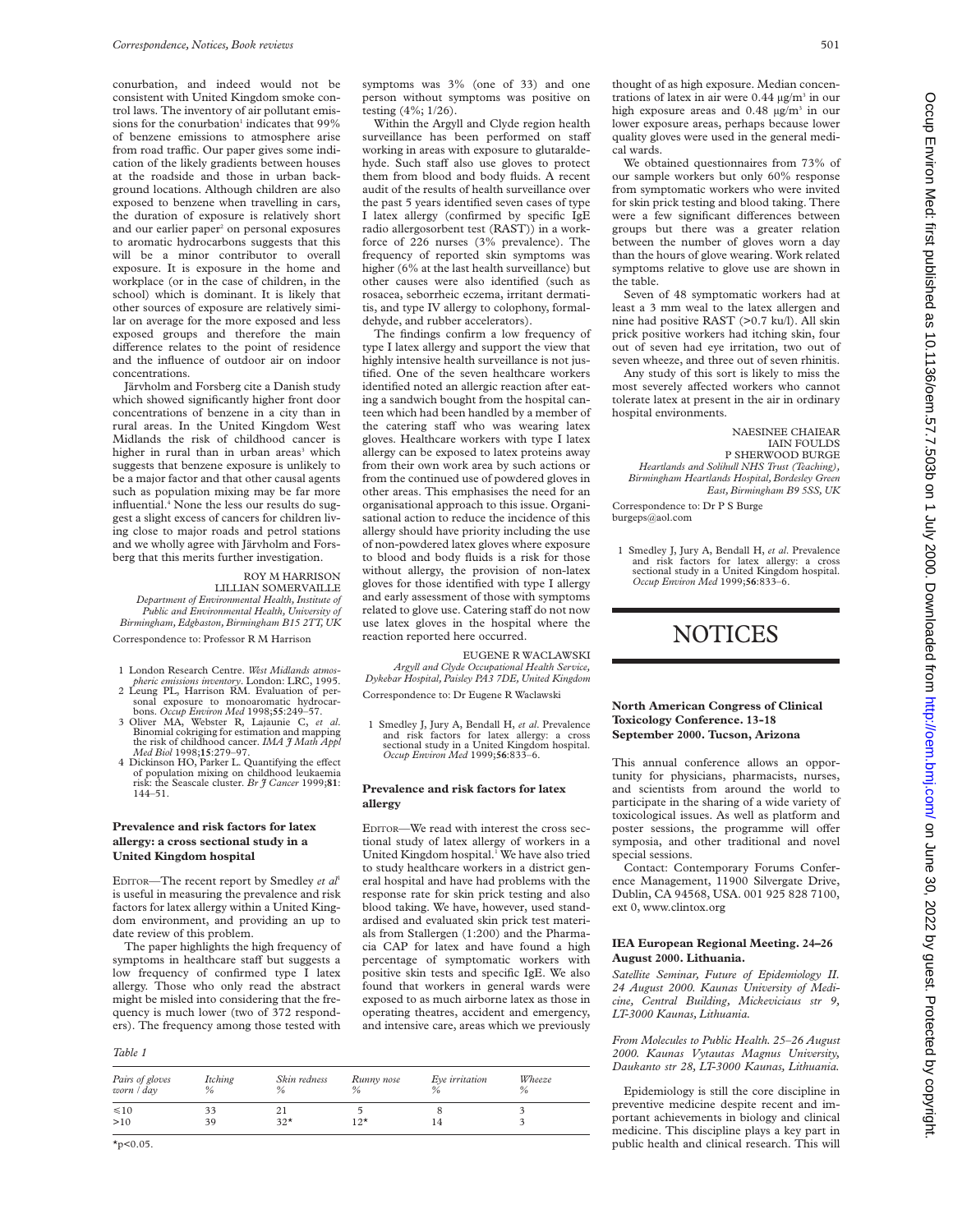conurbation, and indeed would not be consistent with United Kingdom smoke control laws. The inventory of air pollutant emissions for the conurbation<sup>1</sup> indicates that  $99\%$ of benzene emissions to atmosphere arise from road traffic. Our paper gives some indication of the likely gradients between houses at the roadside and those in urban background locations. Although children are also exposed to benzene when travelling in cars, the duration of exposure is relatively short and our earlier paper<sup>2</sup> on personal exposures to aromatic hydrocarbons suggests that this will be a minor contributor to overall exposure. It is exposure in the home and workplace (or in the case of children, in the school) which is dominant. It is likely that other sources of exposure are relatively similar on average for the more exposed and less exposed groups and therefore the main difference relates to the point of residence and the influence of outdoor air on indoor concentrations.

Järvholm and Forsberg cite a Danish study which showed significantly higher front door concentrations of benzene in a city than in rural areas. In the United Kingdom West Midlands the risk of childhood cancer is higher in rural than in urban areas<sup>3</sup> which suggests that benzene exposure is unlikely to be a major factor and that other causal agents such as population mixing may be far more influential.<sup>4</sup> None the less our results do suggest a slight excess of cancers for children living close to major roads and petrol stations and we wholly agree with Järvholm and Forsberg that this merits further investigation.

### ROY M HARRISON

LILLIAN SOMERVAILLE *Department of Environmental Health, Institute of Public and Environmental Health, University of Birmingham, Edgbaston, Birmingham B15 2TT, UK*

Correspondence to: Professor R M Harrison

- 1 London Research Centre. *West Midlands atmos-*
- *pheric emissions inventory*. London: LRC, 1995. 2 Leung PL, Harrison RM. Evaluation of per-
- sonal exposure to monoaromatic hydrocar-bons. *Occup Environ Med* 1998;**55**:249–57. 3 Oliver MA, Webster R, Lajaunie C, *et al*. Binomial cokriging for estimation and mapping the risk of childhood cancer. *IMA J Math Appl Med Biol* 1998;**15**:279–97.
- 4 Dickinson HO, Parker L. Quantifying the effect of population mixing on childhood leukaemia risk: the Seascale cluster. *Br J Cancer* 1999;**81**: 144–51.

### **Prevalence and risk factors for latex allergy: a cross sectional study in a United Kingdom hospital**

EDITOR-The recent report by Smedley et al<sup>1</sup> is useful in measuring the prevalence and risk factors for latex allergy within a United Kingdom environment, and providing an up to date review of this problem.

The paper highlights the high frequency of symptoms in healthcare staff but suggests a low frequency of confirmed type I latex allergy. Those who only read the abstract might be misled into considering that the frequency is much lower (two of 372 responders). The frequency among those tested with

### *Table 1*

| Pairs of gloves<br>worn / day | Itching<br>% | Skin redness<br>$\%$ | Runny nose<br>$\%$ | Eye irritation | Wheeze<br>$\%$ |
|-------------------------------|--------------|----------------------|--------------------|----------------|----------------|
| $\leq 10$                     | 33           |                      |                    |                |                |
| >10                           | 39           | $32*$                | $12*$              | 14             |                |

symptoms was 3% (one of 33) and one person without symptoms was positive on testing (4%; 1/26).

Within the Argyll and Clyde region health surveillance has been performed on staff working in areas with exposure to glutaraldehyde. Such staff also use gloves to protect them from blood and body fluids. A recent audit of the results of health surveillance over the past 5 years identified seven cases of type I latex allergy (confirmed by specific IgE radio allergosorbent test (RAST)) in a workforce of 226 nurses (3% prevalence). The frequency of reported skin symptoms was higher (6% at the last health surveillance) but other causes were also identified (such as rosacea, seborrheic eczema, irritant dermatitis, and type IV allergy to colophony, formaldehyde, and rubber accelerators).

The findings confirm a low frequency of type I latex allergy and support the view that highly intensive health surveillance is not justified. One of the seven healthcare workers identified noted an allergic reaction after eating a sandwich bought from the hospital canteen which had been handled by a member of the catering staff who was wearing latex gloves. Healthcare workers with type I latex allergy can be exposed to latex proteins away from their own work area by such actions or from the continued use of powdered gloves in other areas. This emphasises the need for an organisational approach to this issue. Organisational action to reduce the incidence of this allergy should have priority including the use of non-powdered latex gloves where exposure to blood and body fluids is a risk for those without allergy, the provision of non-latex gloves for those identified with type I allergy and early assessment of those with symptoms related to glove use. Catering staff do not now use latex gloves in the hospital where the reaction reported here occurred.

EUGENE R WACLAWSKI *Argyll and Clyde Occupational Health Service, Dykebar Hospital, Paisley PA3 7DE, United Kingdom* Correspondence to: Dr Eugene R Waclawski

1 Smedley J, Jury A, Bendall H, *et al*. Prevalence and risk factors for latex allergy: a cross sectional study in a United Kingdom hospital. *Occup Environ Med* 1999;**56**:833–6.

### **Prevalence and risk factors for latex allergy**

EDITOR—We read with interest the cross sectional study of latex allergy of workers in a United Kingdom hospital.<sup>1</sup> We have also tried to study healthcare workers in a district general hospital and have had problems with the response rate for skin prick testing and also blood taking. We have, however, used standardised and evaluated skin prick test materials from Stallergen (1:200) and the Pharmacia CAP for latex and have found a high percentage of symptomatic workers with positive skin tests and specific IgE. We also found that workers in general wards were exposed to as much airborne latex as those in operating theatres, accident and emergency, and intensive care, areas which we previously

thought of as high exposure. Median concentrations of latex in air were  $0.44 \mu g/m^3$  in our high exposure areas and 0.48 µg/m<sup>3</sup> in our lower exposure areas, perhaps because lower quality gloves were used in the general medical wards.

We obtained questionnaires from 73% of our sample workers but only 60% response from symptomatic workers who were invited for skin prick testing and blood taking. There were a few significant differences between groups but there was a greater relation between the number of gloves worn a day than the hours of glove wearing. Work related symptoms relative to glove use are shown in the table.

Seven of 48 symptomatic workers had at least a 3 mm weal to the latex allergen and nine had positive RAST (>0.7 ku/l). All skin prick positive workers had itching skin, four out of seven had eye irritation, two out of seven wheeze, and three out of seven rhinitis.

Any study of this sort is likely to miss the most severely affected workers who cannot tolerate latex at present in the air in ordinary hospital environments.

NAESINEE CHAIEAR IAIN FOULDS P SHERWOOD BURGE *Heartlands and Solihull NHS Trust (Teaching), Birmingham Heartlands Hospital, Bordesley Green East, Birmingham B9 5SS, UK*

Correspondence to: Dr P S Burge burgeps@aol.com

1 Smedley J, Jury A, Bendall H, *et al*. Prevalence and risk factors for latex allergy: a cross sectional study in a United Kingdom hospital. *Occup Environ Med* 1999;**56**:833–6.

# **NOTICES**

### **North American Congress of Clinical Toxicology Conference. 13-18 September 2000. Tucson, Arizona**

This annual conference allows an opportunity for physicians, pharmacists, nurses, and scientists from around the world to participate in the sharing of a wide variety of toxicological issues. As well as platform and poster sessions, the programme will offer symposia, and other traditional and novel special sessions.

Contact: Contemporary Forums Conference Management, 11900 Silvergate Drive, Dublin, CA 94568, USA. 001 925 828 7100, ext 0, www.clintox.org

### **IEA European Regional Meeting. 24–26 August 2000. Lithuania.**

*Satellite Seminar, Future of Epidemiology II. 24 August 2000. Kaunas University of Medicine, Central Building, Mickeviciaus str 9, LT-3000 Kaunas, Lithuania.*

*From Molecules to Public Health. 25–26 August 2000. Kaunas Vytautas Magnus University, Daukanto str 28, LT-3000 Kaunas, Lithuania.*

Epidemiology is still the core discipline in preventive medicine despite recent and important achievements in biology and clinical medicine. This discipline plays a key part in public health and clinical research. This will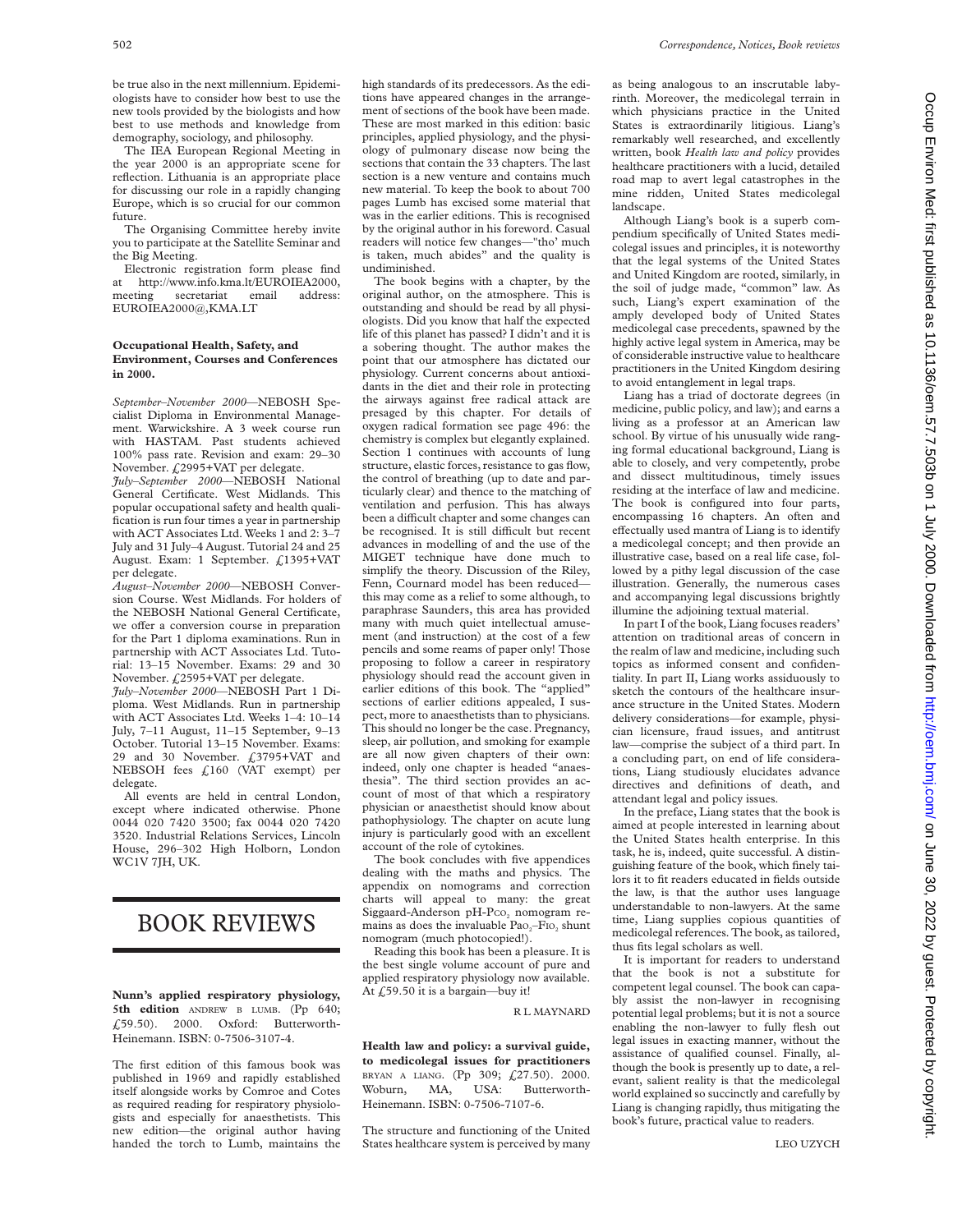be true also in the next millennium. Epidemiologists have to consider how best to use the new tools provided by the biologists and how best to use methods and knowledge from demography, sociology, and philosophy.

The IEA European Regional Meeting in the year 2000 is an appropriate scene for reflection. Lithuania is an appropriate place for discussing our role in a rapidly changing Europe, which is so crucial for our common future.

The Organising Committee hereby invite you to participate at the Satellite Seminar and the Big Meeting.

Electronic registration form please find at http://www.info.kma.lt/EUROIEA2000, meeting secretariat email address: EUROIEA2000@,KMA.LT

### **Occupational Health, Safety, and Environment, Courses and Conferences in 2000.**

*September–November 2000*—NEBOSH Specialist Diploma in Environmental Management. Warwickshire. A 3 week course run with HASTAM. Past students achieved 100% pass rate. Revision and exam: 29–30 November. £2995+VAT per delegate.

*July–September 2000*—NEBOSH National General Certificate. West Midlands. This popular occupational safety and health qualification is run four times a year in partnership with ACT Associates Ltd. Weeks 1 and 2: 3–7 July and 31 July–4 August. Tutorial 24 and 25 August. Exam: 1 September. £1395+VAT per delegate.

*August–November 2000*—NEBOSH Conversion Course. West Midlands. For holders of the NEBOSH National General Certificate, we offer a conversion course in preparation for the Part 1 diploma examinations. Run in partnership with ACT Associates Ltd. Tutorial: 13–15 November. Exams: 29 and 30 November. £2595+VAT per delegate.

*July–November 2000*—NEBOSH Part 1 Diploma. West Midlands. Run in partnership with ACT Associates Ltd. Weeks 1–4: 10–14 July, 7–11 August, 11–15 September, 9–13 October. Tutorial 13–15 November. Exams: 29 and 30 November. £3795+VAT and NEBSOH fees £160 (VAT exempt) per delegate.

All events are held in central London, except where indicated otherwise. Phone 0044 020 7420 3500; fax 0044 020 7420 3520. Industrial Relations Services, Lincoln House, 296–302 High Holborn, London WC1V 7JH, UK.

## BOOK REVIEWS

**Nunn's applied respiratory physiology, 5th edition** ANDREW B LUMB. (Pp 640; £59.50). 2000. Oxford: Butterworth-Heinemann. ISBN: 0-7506-3107-4.

The first edition of this famous book was published in 1969 and rapidly established itself alongside works by Comroe and Cotes as required reading for respiratory physiologists and especially for anaesthetists. This new edition—the original author having handed the torch to Lumb, maintains the

high standards of its predecessors. As the editions have appeared changes in the arrangement of sections of the book have been made. These are most marked in this edition: basic principles, applied physiology, and the physiology of pulmonary disease now being the sections that contain the 33 chapters. The last section is a new venture and contains much new material. To keep the book to about 700 pages Lumb has excised some material that was in the earlier editions. This is recognised by the original author in his foreword. Casual readers will notice few changes—"tho' much is taken, much abides" and the quality is undiminished.

The book begins with a chapter, by the original author, on the atmosphere. This is outstanding and should be read by all physiologists. Did you know that half the expected life of this planet has passed? I didn't and it is a sobering thought. The author makes the point that our atmosphere has dictated our physiology. Current concerns about antioxidants in the diet and their role in protecting the airways against free radical attack are presaged by this chapter. For details of oxygen radical formation see page 496: the chemistry is complex but elegantly explained. Section 1 continues with accounts of lung structure, elastic forces, resistance to gas flow, the control of breathing (up to date and particularly clear) and thence to the matching of ventilation and perfusion. This has always been a difficult chapter and some changes can be recognised. It is still difficult but recent advances in modelling of and the use of the MIGET technique have done much to simplify the theory. Discussion of the Riley, Fenn, Cournard model has been reduced this may come as a relief to some although, to paraphrase Saunders, this area has provided many with much quiet intellectual amusement (and instruction) at the cost of a few pencils and some reams of paper only! Those proposing to follow a career in respiratory physiology should read the account given in earlier editions of this book. The "applied" sections of earlier editions appealed, I suspect, more to anaesthetists than to physicians. This should no longer be the case. Pregnancy, sleep, air pollution, and smoking for example are all now given chapters of their own: indeed, only one chapter is headed "anaesthesia". The third section provides an account of most of that which a respiratory physician or anaesthetist should know about pathophysiology. The chapter on acute lung injury is particularly good with an excellent account of the role of cytokines.

The book concludes with five appendices dealing with the maths and physics. The appendix on nomograms and correction charts will appeal to many: the great Siggaard-Anderson pH- $Pco<sub>2</sub>$  nomogram remains as does the invaluable Pao<sub>2</sub>–F<sub>IO</sub>, shunt nomogram (much photocopied!).

Reading this book has been a pleasure. It is the best single volume account of pure and applied respiratory physiology now available. At  $\angle$  59.50 it is a bargain—buy it!

#### R L MAYNARD

**Health law and policy: a survival guide, to medicolegal issues for practitioners** BRYAN A LIANG. (Pp 309; £27.50). 2000. Woburn, MA, USA: Butterworth-Heinemann. ISBN: 0-7506-7107-6.

The structure and functioning of the United States healthcare system is perceived by many

as being analogous to an inscrutable labyrinth. Moreover, the medicolegal terrain in which physicians practice in the United States is extraordinarily litigious. Liang's remarkably well researched, and excellently written, book *Health law and policy* provides healthcare practitioners with a lucid, detailed road map to avert legal catastrophes in the mine ridden, United States medicolegal landscape.

Although Liang's book is a superb compendium specifically of United States medicolegal issues and principles, it is noteworthy that the legal systems of the United States and United Kingdom are rooted, similarly, in the soil of judge made, "common" law. As such, Liang's expert examination of the amply developed body of United States medicolegal case precedents, spawned by the highly active legal system in America, may be of considerable instructive value to healthcare practitioners in the United Kingdom desiring to avoid entanglement in legal traps.

Liang has a triad of doctorate degrees (in medicine, public policy, and law); and earns a living as a professor at an American law school. By virtue of his unusually wide ranging formal educational background, Liang is able to closely, and very competently, probe and dissect multitudinous, timely issues residing at the interface of law and medicine. The book is configured into four parts, encompassing 16 chapters. An often and effectually used mantra of Liang is to identify a medicolegal concept; and then provide an illustrative case, based on a real life case, followed by a pithy legal discussion of the case illustration. Generally, the numerous cases and accompanying legal discussions brightly illumine the adjoining textual material.

In part I of the book, Liang focuses readers' attention on traditional areas of concern in the realm of law and medicine, including such topics as informed consent and confidentiality. In part II, Liang works assiduously to sketch the contours of the healthcare insurance structure in the United States. Modern delivery considerations—for example, physician licensure, fraud issues, and antitrust law—comprise the subject of a third part. In a concluding part, on end of life considerations, Liang studiously elucidates advance directives and definitions of death, and attendant legal and policy issues.

In the preface, Liang states that the book is aimed at people interested in learning about the United States health enterprise. In this task, he is, indeed, quite successful. A distinguishing feature of the book, which finely tailors it to fit readers educated in fields outside the law, is that the author uses language understandable to non-lawyers. At the same time, Liang supplies copious quantities of medicolegal references. The book, as tailored, thus fits legal scholars as well.

It is important for readers to understand that the book is not a substitute for competent legal counsel. The book can capably assist the non-lawyer in recognising potential legal problems; but it is not a source enabling the non-lawyer to fully flesh out legal issues in exacting manner, without the assistance of qualified counsel. Finally, although the book is presently up to date, a relevant, salient reality is that the medicolegal world explained so succinctly and carefully by Liang is changing rapidly, thus mitigating the book's future, practical value to readers.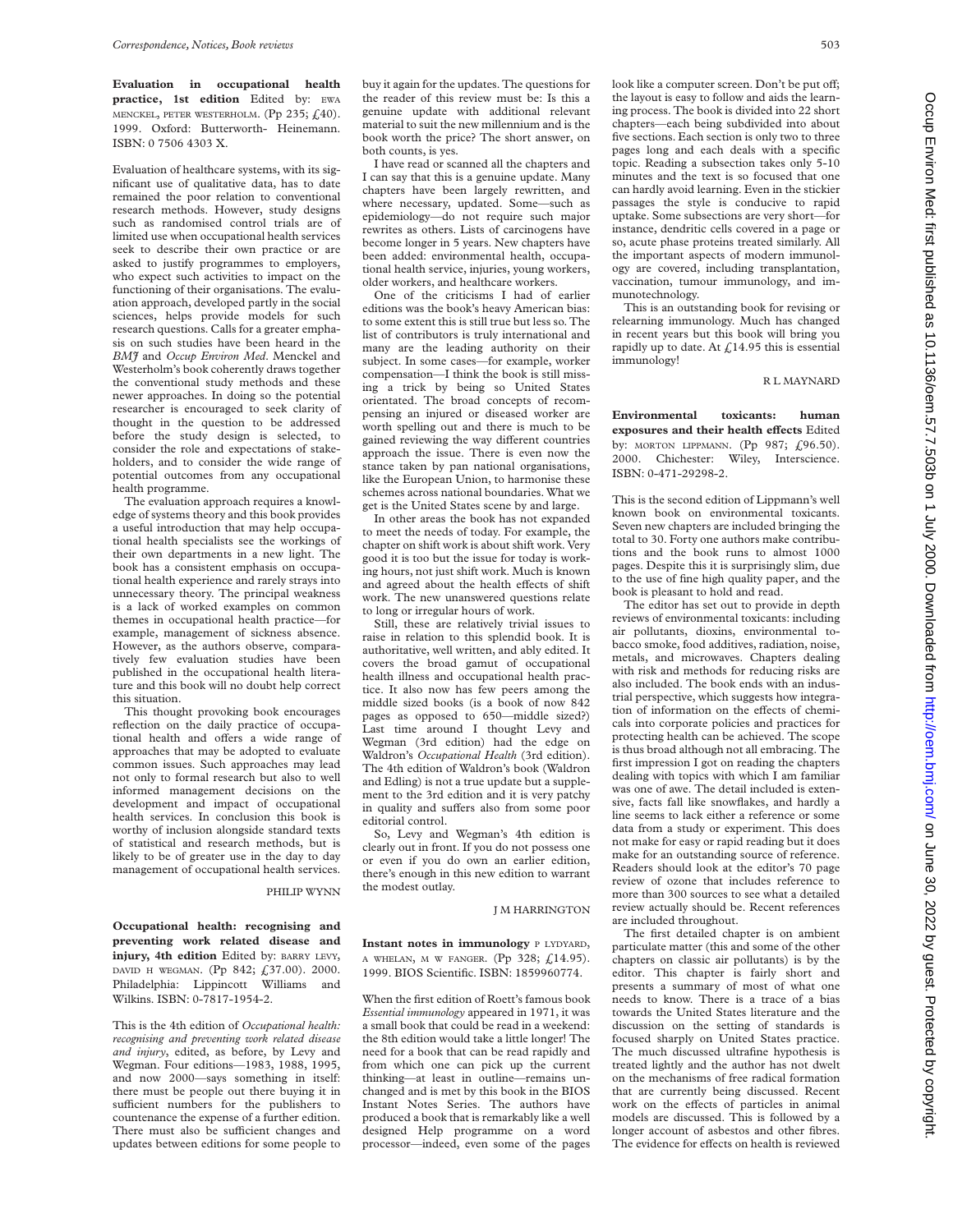**Evaluation in occupational health practice, 1st edition** Edited by: EWA MENCKEL, PETER WESTERHOLM. (Pp 235;  $f<sub>1</sub>(40)$ . 1999. Oxford: Butterworth- Heinemann. ISBN: 0 7506 4303 X.

Evaluation of healthcare systems, with its significant use of qualitative data, has to date remained the poor relation to conventional research methods. However, study designs such as randomised control trials are of limited use when occupational health services seek to describe their own practice or are asked to justify programmes to employers, who expect such activities to impact on the functioning of their organisations. The evaluation approach, developed partly in the social sciences, helps provide models for such research questions. Calls for a greater emphasis on such studies have been heard in the *BMJ* and *Occup Environ Med*. Menckel and Westerholm's book coherently draws together the conventional study methods and these newer approaches. In doing so the potential researcher is encouraged to seek clarity of thought in the question to be addressed before the study design is selected, to consider the role and expectations of stakeholders, and to consider the wide range of potential outcomes from any occupational health programme.

The evaluation approach requires a knowledge of systems theory and this book provides a useful introduction that may help occupational health specialists see the workings of their own departments in a new light. The book has a consistent emphasis on occupational health experience and rarely strays into unnecessary theory. The principal weakness is a lack of worked examples on common themes in occupational health practice—for example, management of sickness absence. However, as the authors observe, comparatively few evaluation studies have been published in the occupational health literature and this book will no doubt help correct this situation.

This thought provoking book encourages reflection on the daily practice of occupational health and offers a wide range of approaches that may be adopted to evaluate common issues. Such approaches may lead not only to formal research but also to well informed management decisions on the development and impact of occupational health services. In conclusion this book is worthy of inclusion alongside standard texts of statistical and research methods, but is likely to be of greater use in the day to day management of occupational health services.

PHILIP WYNN

**Occupational health: recognising and preventing work related disease and injury, 4th edition** Edited by: BARRY LEVY, DAVID H WEGMAN. (Pp 842; £37.00). 2000. Philadelphia: Lippincott Williams and Wilkins. ISBN: 0-7817-1954-2.

This is the 4th edition of *Occupational health: recognising and preventing work related disease and injury*, edited, as before, by Levy and Wegman. Four editions—1983, 1988, 1995, and now 2000—says something in itself: there must be people out there buying it in sufficient numbers for the publishers to countenance the expense of a further edition. There must also be sufficient changes and updates between editions for some people to buy it again for the updates. The questions for the reader of this review must be: Is this a genuine update with additional relevant material to suit the new millennium and is the book worth the price? The short answer, on both counts, is yes.

I have read or scanned all the chapters and I can say that this is a genuine update. Many chapters have been largely rewritten, and where necessary, updated. Some—such as epidemiology—do not require such major rewrites as others. Lists of carcinogens have become longer in 5 years. New chapters have been added: environmental health, occupational health service, injuries, young workers, older workers, and healthcare workers.

One of the criticisms I had of earlier editions was the book's heavy American bias: to some extent this is still true but less so. The list of contributors is truly international and many are the leading authority on their subject. In some cases—for example, worker compensation—I think the book is still missing a trick by being so United States orientated. The broad concepts of recompensing an injured or diseased worker are worth spelling out and there is much to be gained reviewing the way different countries approach the issue. There is even now the stance taken by pan national organisations, like the European Union, to harmonise these schemes across national boundaries. What we get is the United States scene by and large.

In other areas the book has not expanded to meet the needs of today. For example, the chapter on shift work is about shift work. Very good it is too but the issue for today is working hours, not just shift work. Much is known and agreed about the health effects of shift work. The new unanswered questions relate to long or irregular hours of work.

Still, these are relatively trivial issues to raise in relation to this splendid book. It is authoritative, well written, and ably edited. It covers the broad gamut of occupational health illness and occupational health practice. It also now has few peers among the middle sized books (is a book of now 842 pages as opposed to 650—middle sized?) Last time around I thought Levy and Wegman (3rd edition) had the edge on Waldron's *Occupational Health* (3rd edition). The 4th edition of Waldron's book (Waldron and Edling) is not a true update but a supplement to the 3rd edition and it is very patchy in quality and suffers also from some poor editorial control.

So, Levy and Wegman's 4th edition is clearly out in front. If you do not possess one or even if you do own an earlier edition, there's enough in this new edition to warrant the modest outlay.

J M HARRINGTON

**Instant notes in immunology** P LYDYARD, A WHELAN, M W FANGER.  $($ Pp 328;  $f$ 14.95). 1999. BIOS Scientific. ISBN: 1859960774.

When the first edition of Roett's famous book *Essential immunology* appeared in 1971, it was a small book that could be read in a weekend: the 8th edition would take a little longer! The need for a book that can be read rapidly and from which one can pick up the current thinking—at least in outline—remains unchanged and is met by this book in the BIOS Instant Notes Series. The authors have produced a book that is remarkably like a well designed Help programme on a word processor—indeed, even some of the pages

look like a computer screen. Don't be put off; the layout is easy to follow and aids the learning process. The book is divided into 22 short chapters—each being subdivided into about five sections. Each section is only two to three pages long and each deals with a specific topic. Reading a subsection takes only 5-10 minutes and the text is so focused that one can hardly avoid learning. Even in the stickier passages the style is conducive to rapid uptake. Some subsections are very short—for instance, dendritic cells covered in a page or so, acute phase proteins treated similarly. All the important aspects of modern immunology are covered, including transplantation, vaccination, tumour immunology, and immunotechnology.

This is an outstanding book for revising or relearning immunology. Much has changed in recent years but this book will bring you rapidly up to date. At  $\mathcal{L}$ 14.95 this is essential immunology!

### R L MAYNARD

**Environmental toxicants: human exposures and their health effects** Edited by: MORTON LIPPMANN. (Pp 987; £96.50). 2000. Chichester: Wiley, Interscience. ISBN: 0-471-29298-2.

This is the second edition of Lippmann's well known book on environmental toxicants. Seven new chapters are included bringing the total to 30. Forty one authors make contributions and the book runs to almost 1000 pages. Despite this it is surprisingly slim, due to the use of fine high quality paper, and the book is pleasant to hold and read.

The editor has set out to provide in depth reviews of environmental toxicants: including air pollutants, dioxins, environmental tobacco smoke, food additives, radiation, noise, metals, and microwaves. Chapters dealing with risk and methods for reducing risks are also included. The book ends with an industrial perspective, which suggests how integration of information on the effects of chemicals into corporate policies and practices for protecting health can be achieved. The scope is thus broad although not all embracing. The first impression I got on reading the chapters dealing with topics with which I am familiar was one of awe. The detail included is extensive, facts fall like snowflakes, and hardly a line seems to lack either a reference or some data from a study or experiment. This does not make for easy or rapid reading but it does make for an outstanding source of reference. Readers should look at the editor's 70 page review of ozone that includes reference to more than 300 sources to see what a detailed review actually should be. Recent references are included throughout.

The first detailed chapter is on ambient particulate matter (this and some of the other chapters on classic air pollutants) is by the editor. This chapter is fairly short and presents a summary of most of what one needs to know. There is a trace of a bias towards the United States literature and the discussion on the setting of standards is focused sharply on United States practice. The much discussed ultrafine hypothesis is treated lightly and the author has not dwelt on the mechanisms of free radical formation that are currently being discussed. Recent work on the effects of particles in animal models are discussed. This is followed by a longer account of asbestos and other fibres. The evidence for effects on health is reviewed